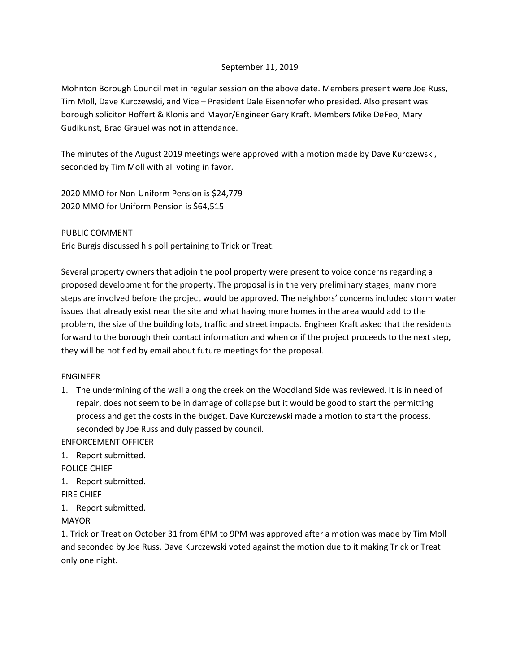## September 11, 2019

Mohnton Borough Council met in regular session on the above date. Members present were Joe Russ, Tim Moll, Dave Kurczewski, and Vice – President Dale Eisenhofer who presided. Also present was borough solicitor Hoffert & Klonis and Mayor/Engineer Gary Kraft. Members Mike DeFeo, Mary Gudikunst, Brad Grauel was not in attendance.

The minutes of the August 2019 meetings were approved with a motion made by Dave Kurczewski, seconded by Tim Moll with all voting in favor.

2020 MMO for Non-Uniform Pension is \$24,779 2020 MMO for Uniform Pension is \$64,515

PUBLIC COMMENT

Eric Burgis discussed his poll pertaining to Trick or Treat.

Several property owners that adjoin the pool property were present to voice concerns regarding a proposed development for the property. The proposal is in the very preliminary stages, many more steps are involved before the project would be approved. The neighbors' concerns included storm water issues that already exist near the site and what having more homes in the area would add to the problem, the size of the building lots, traffic and street impacts. Engineer Kraft asked that the residents forward to the borough their contact information and when or if the project proceeds to the next step, they will be notified by email about future meetings for the proposal.

## ENGINEER

1. The undermining of the wall along the creek on the Woodland Side was reviewed. It is in need of repair, does not seem to be in damage of collapse but it would be good to start the permitting process and get the costs in the budget. Dave Kurczewski made a motion to start the process, seconded by Joe Russ and duly passed by council.

ENFORCEMENT OFFICER

1. Report submitted.

POLICE CHIEF

1. Report submitted.

FIRE CHIEF

1. Report submitted.

MAYOR

1. Trick or Treat on October 31 from 6PM to 9PM was approved after a motion was made by Tim Moll and seconded by Joe Russ. Dave Kurczewski voted against the motion due to it making Trick or Treat only one night.